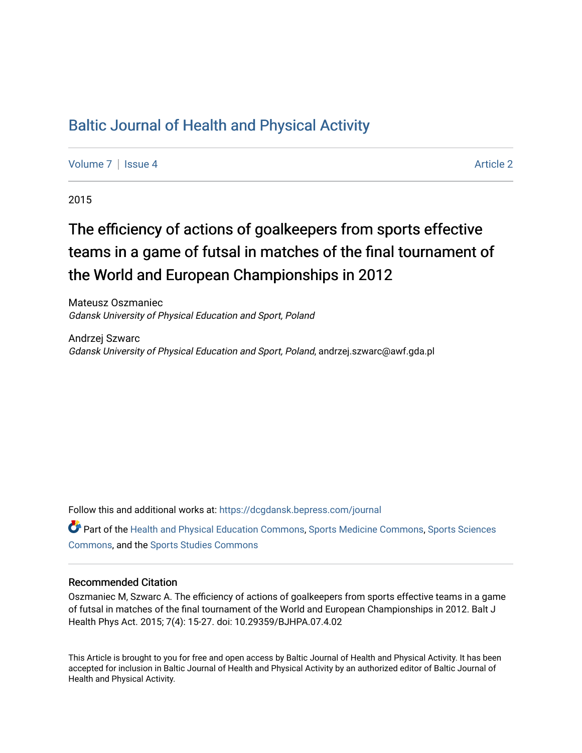# [Baltic Journal of Health and Physical Activity](https://dcgdansk.bepress.com/journal)

[Volume 7](https://dcgdansk.bepress.com/journal/vol7) | [Issue 4](https://dcgdansk.bepress.com/journal/vol7/iss4) Article 2

2015

# The efficiency of actions of goalkeepers from sports effective teams in a game of futsal in matches of the final tournament of the World and European Championships in 2012

Mateusz Oszmaniec Gdansk University of Physical Education and Sport, Poland

Andrzej Szwarc Gdansk University of Physical Education and Sport, Poland, andrzej.szwarc@awf.gda.pl

Follow this and additional works at: [https://dcgdansk.bepress.com/journal](https://dcgdansk.bepress.com/journal?utm_source=dcgdansk.bepress.com%2Fjournal%2Fvol7%2Fiss4%2F2&utm_medium=PDF&utm_campaign=PDFCoverPages)

Part of the [Health and Physical Education Commons](http://network.bepress.com/hgg/discipline/1327?utm_source=dcgdansk.bepress.com%2Fjournal%2Fvol7%2Fiss4%2F2&utm_medium=PDF&utm_campaign=PDFCoverPages), [Sports Medicine Commons,](http://network.bepress.com/hgg/discipline/1331?utm_source=dcgdansk.bepress.com%2Fjournal%2Fvol7%2Fiss4%2F2&utm_medium=PDF&utm_campaign=PDFCoverPages) [Sports Sciences](http://network.bepress.com/hgg/discipline/759?utm_source=dcgdansk.bepress.com%2Fjournal%2Fvol7%2Fiss4%2F2&utm_medium=PDF&utm_campaign=PDFCoverPages) [Commons](http://network.bepress.com/hgg/discipline/759?utm_source=dcgdansk.bepress.com%2Fjournal%2Fvol7%2Fiss4%2F2&utm_medium=PDF&utm_campaign=PDFCoverPages), and the [Sports Studies Commons](http://network.bepress.com/hgg/discipline/1198?utm_source=dcgdansk.bepress.com%2Fjournal%2Fvol7%2Fiss4%2F2&utm_medium=PDF&utm_campaign=PDFCoverPages) 

#### Recommended Citation

Oszmaniec M, Szwarc A. The efficiency of actions of goalkeepers from sports effective teams in a game of futsal in matches of the final tournament of the World and European Championships in 2012. Balt J Health Phys Act. 2015; 7(4): 15-27. doi: 10.29359/BJHPA.07.4.02

This Article is brought to you for free and open access by Baltic Journal of Health and Physical Activity. It has been accepted for inclusion in Baltic Journal of Health and Physical Activity by an authorized editor of Baltic Journal of Health and Physical Activity.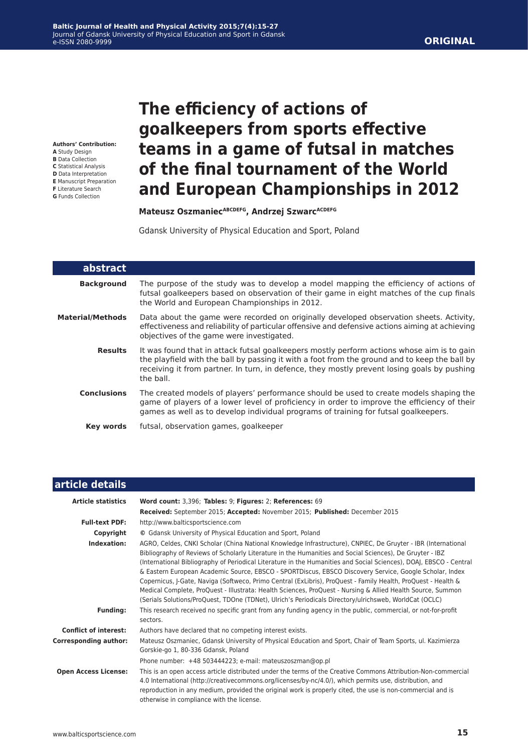#### **ORIGINAL**

**Authors' Contribution: A** Study Design

- **B** Data Collection
- **C** Statistical Analysis
- **D** Data Interpretation
- **E** Manuscript Preparation

**F** Literature Search

**G** Funds Collection

# **The efficiency of actions of goalkeepers from sports effective teams in a game of futsal in matches of the final tournament of the World and European Championships in 2012**

Mateusz Oszmaniec<sup>ABCDEFG</sup>, Andrzej Szwarc<sup>ACDEFG</sup>

Gdansk University of Physical Education and Sport, Poland

| abstract                |                                                                                                                                                                                                                                                                                                         |
|-------------------------|---------------------------------------------------------------------------------------------------------------------------------------------------------------------------------------------------------------------------------------------------------------------------------------------------------|
| <b>Background</b>       | The purpose of the study was to develop a model mapping the efficiency of actions of<br>futsal goalkeepers based on observation of their game in eight matches of the cup finals<br>the World and European Championships in 2012.                                                                       |
| <b>Material/Methods</b> | Data about the game were recorded on originally developed observation sheets. Activity,<br>effectiveness and reliability of particular offensive and defensive actions aiming at achieving<br>objectives of the game were investigated.                                                                 |
| <b>Results</b>          | It was found that in attack futsal goalkeepers mostly perform actions whose aim is to gain<br>the playfield with the ball by passing it with a foot from the ground and to keep the ball by<br>receiving it from partner. In turn, in defence, they mostly prevent losing goals by pushing<br>the ball. |
| <b>Conclusions</b>      | The created models of players' performance should be used to create models shaping the<br>game of players of a lower level of proficiency in order to improve the efficiency of their<br>games as well as to develop individual programs of training for futsal goalkeepers.                            |
| Key words               | futsal, observation games, goalkeeper                                                                                                                                                                                                                                                                   |

| article details                |                                                                                                                                                                                                                                                                                                                                                                                                                                                                                                                                                                                                                                                                                                                                                                                                                                                                                                                       |
|--------------------------------|-----------------------------------------------------------------------------------------------------------------------------------------------------------------------------------------------------------------------------------------------------------------------------------------------------------------------------------------------------------------------------------------------------------------------------------------------------------------------------------------------------------------------------------------------------------------------------------------------------------------------------------------------------------------------------------------------------------------------------------------------------------------------------------------------------------------------------------------------------------------------------------------------------------------------|
| <b>Article statistics</b>      | Word count: 3,396; Tables: 9; Figures: 2; References: 69<br>Received: September 2015; Accepted: November 2015; Published: December 2015                                                                                                                                                                                                                                                                                                                                                                                                                                                                                                                                                                                                                                                                                                                                                                               |
| <b>Full-text PDF:</b>          | http://www.balticsportscience.com                                                                                                                                                                                                                                                                                                                                                                                                                                                                                                                                                                                                                                                                                                                                                                                                                                                                                     |
| Copyright                      | © Gdansk University of Physical Education and Sport, Poland                                                                                                                                                                                                                                                                                                                                                                                                                                                                                                                                                                                                                                                                                                                                                                                                                                                           |
| Indexation:<br><b>Funding:</b> | AGRO, Celdes, CNKI Scholar (China National Knowledge Infrastructure), CNPIEC, De Gruyter - IBR (International<br>Bibliography of Reviews of Scholarly Literature in the Humanities and Social Sciences), De Gruyter - IBZ<br>(International Bibliography of Periodical Literature in the Humanities and Social Sciences), DOAJ, EBSCO - Central<br>& Eastern European Academic Source, EBSCO - SPORTDiscus, EBSCO Discovery Service, Google Scholar, Index<br>Copernicus, J-Gate, Naviga (Softweco, Primo Central (ExLibris), ProQuest - Family Health, ProQuest - Health &<br>Medical Complete, ProQuest - Illustrata: Health Sciences, ProQuest - Nursing & Allied Health Source, Summon<br>(Serials Solutions/ProQuest, TDOne (TDNet), Ulrich's Periodicals Directory/ulrichsweb, WorldCat (OCLC)<br>This research received no specific grant from any funding agency in the public, commercial, or not-for-profit |
|                                | sectors.                                                                                                                                                                                                                                                                                                                                                                                                                                                                                                                                                                                                                                                                                                                                                                                                                                                                                                              |
| <b>Conflict of interest:</b>   | Authors have declared that no competing interest exists.                                                                                                                                                                                                                                                                                                                                                                                                                                                                                                                                                                                                                                                                                                                                                                                                                                                              |
| <b>Corresponding author:</b>   | Mateusz Oszmaniec, Gdansk University of Physical Education and Sport, Chair of Team Sports, ul. Kazimierza<br>Gorskie-go 1, 80-336 Gdansk, Poland                                                                                                                                                                                                                                                                                                                                                                                                                                                                                                                                                                                                                                                                                                                                                                     |
|                                | Phone number: +48 503444223; e-mail: mateuszoszman@op.pl                                                                                                                                                                                                                                                                                                                                                                                                                                                                                                                                                                                                                                                                                                                                                                                                                                                              |
| <b>Open Access License:</b>    | This is an open access article distributed under the terms of the Creative Commons Attribution-Non-commercial<br>4.0 International (http://creativecommons.org/licenses/by-nc/4.0/), which permits use, distribution, and<br>reproduction in any medium, provided the original work is properly cited, the use is non-commercial and is<br>otherwise in compliance with the license.                                                                                                                                                                                                                                                                                                                                                                                                                                                                                                                                  |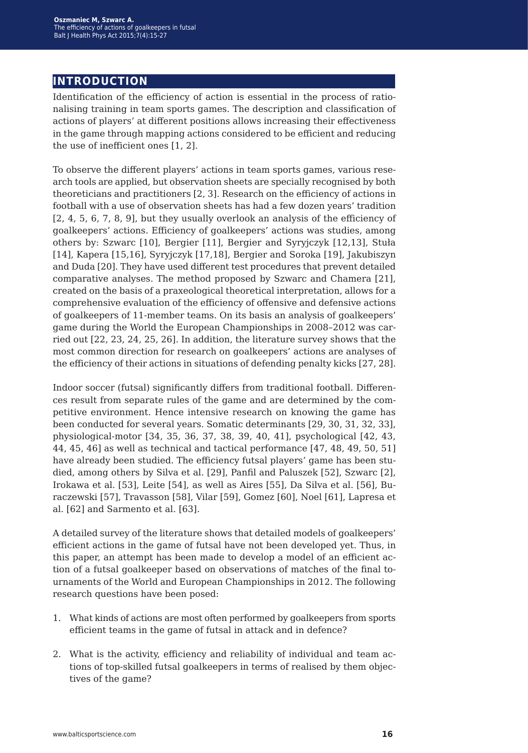## **introduction**

Identification of the efficiency of action is essential in the process of rationalising training in team sports games. The description and classification of actions of players' at different positions allows increasing their effectiveness in the game through mapping actions considered to be efficient and reducing the use of inefficient ones [1, 2].

To observe the different players' actions in team sports games, various research tools are applied, but observation sheets are specially recognised by both theoreticians and practitioners [2, 3]. Research on the efficiency of actions in football with a use of observation sheets has had a few dozen years' tradition [2, 4, 5, 6, 7, 8, 9], but they usually overlook an analysis of the efficiency of goalkeepers' actions. Efficiency of goalkeepers' actions was studies, among others by: Szwarc [10], Bergier [11], Bergier and Syryjczyk [12,13], Stuła [14], Kapera [15,16], Syryjczyk [17,18], Bergier and Soroka [19], Jakubiszyn and Duda [20]. They have used different test procedures that prevent detailed comparative analyses. The method proposed by Szwarc and Chamera [21], created on the basis of a praxeological theoretical interpretation, allows for a comprehensive evaluation of the efficiency of offensive and defensive actions of goalkeepers of 11-member teams. On its basis an analysis of goalkeepers' game during the World the European Championships in 2008–2012 was carried out [22, 23, 24, 25, 26]. In addition, the literature survey shows that the most common direction for research on goalkeepers' actions are analyses of the efficiency of their actions in situations of defending penalty kicks [27, 28].

Indoor soccer (futsal) significantly differs from traditional football. Differences result from separate rules of the game and are determined by the competitive environment. Hence intensive research on knowing the game has been conducted for several years. Somatic determinants [29, 30, 31, 32, 33], physiological-motor [34, 35, 36, 37, 38, 39, 40, 41], psychological [42, 43, 44, 45, 46] as well as technical and tactical performance [47, 48, 49, 50, 51] have already been studied. The efficiency futsal players' game has been studied, among others by Silva et al. [29], Panfil and Paluszek [52], Szwarc [2], Irokawa et al. [53], Leite [54], as well as Aires [55], Da Silva et al. [56], Buraczewski [57], Travasson [58], Vilar [59], Gomez [60], Noel [61], Lapresa et al. [62] and Sarmento et al. [63].

A detailed survey of the literature shows that detailed models of goalkeepers' efficient actions in the game of futsal have not been developed yet. Thus, in this paper, an attempt has been made to develop a model of an efficient action of a futsal goalkeeper based on observations of matches of the final tournaments of the World and European Championships in 2012. The following research questions have been posed:

- 1. What kinds of actions are most often performed by goalkeepers from sports efficient teams in the game of futsal in attack and in defence?
- 2. What is the activity, efficiency and reliability of individual and team actions of top-skilled futsal goalkeepers in terms of realised by them objectives of the game?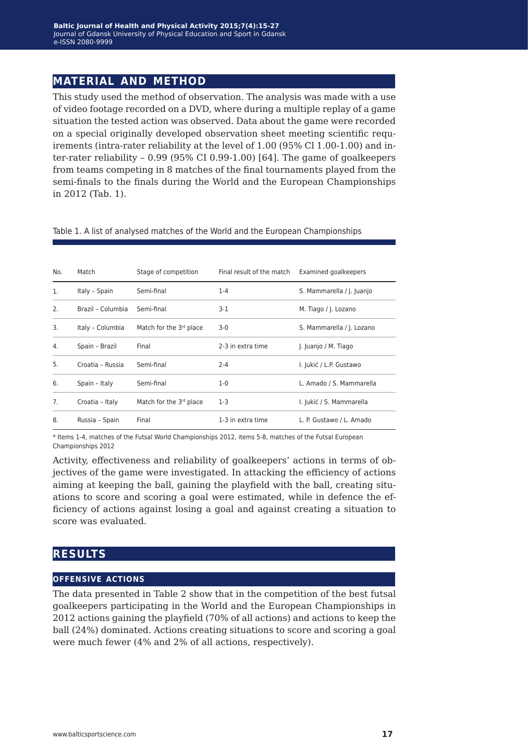#### **material and method**

This study used the method of observation. The analysis was made with a use of video footage recorded on a DVD, where during a multiple replay of a game situation the tested action was observed. Data about the game were recorded on a special originally developed observation sheet meeting scientific requirements (intra-rater reliability at the level of 1.00 (95% Cl 1.00-1.00) and inter-rater reliability – 0.99 (95% CI 0.99-1.00) [64]. The game of goalkeepers from teams competing in 8 matches of the final tournaments played from the semi-finals to the finals during the World and the European Championships in 2012 (Tab. 1).

| No.              | Match             | Stage of competition                | Final result of the match | Examined goalkeepers      |
|------------------|-------------------|-------------------------------------|---------------------------|---------------------------|
| $\mathbf{1}$ .   | Italy - Spain     | Semi-final                          | $1 - 4$                   | S. Mammarella / J. Juanjo |
| 2.               | Brazil - Columbia | Semi-final                          | $3-1$                     | M. Tiago / J. Lozano      |
| 3.               | Italy - Columbia  | Match for the 3 <sup>rd</sup> place | 3-0                       | S. Mammarella / J. Lozano |
| $\overline{4}$ . | Spain - Brazil    | Final                               | 2-3 in extra time         | J. Juanjo / M. Tiago      |
| 5.               | Croatia - Russia  | Semi-final                          | $2 - 4$                   | I. Jukić / L.P. Gustawo   |
| 6.               | Spain - Italy     | Semi-final                          | $1-0$                     | L. Amado / S. Mammarella  |
| 7.               | Croatia - Italy   | Match for the 3 <sup>rd</sup> place | $1-3$                     | I. Jukić / S. Mammarella  |
| 8.               | Russia - Spain    | Final                               | 1-3 in extra time         | L. P. Gustawo / L. Amado  |

Table 1. A list of analysed matches of the World and the European Championships

\* Items 1-4, matches of the Futsal World Championships 2012, items 5-8, matches of the Futsal European Championships 2012

Activity, effectiveness and reliability of goalkeepers' actions in terms of objectives of the game were investigated. In attacking the efficiency of actions aiming at keeping the ball, gaining the playfield with the ball, creating situations to score and scoring a goal were estimated, while in defence the efficiency of actions against losing a goal and against creating a situation to score was evaluated.

### **results**

#### **offensive actions**

The data presented in Table 2 show that in the competition of the best futsal goalkeepers participating in the World and the European Championships in 2012 actions gaining the playfield (70% of all actions) and actions to keep the ball (24%) dominated. Actions creating situations to score and scoring a goal were much fewer (4% and 2% of all actions, respectively).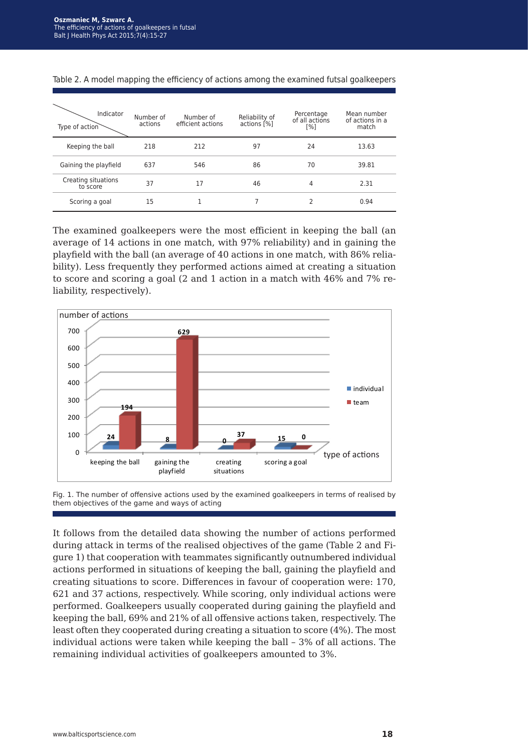| Indicator<br>Type of action     | Number of<br>actions | Number of<br>efficient actions | Reliability of<br>actions [%] | Percentage<br>of all actions<br>[%] | Mean number<br>of actions in a<br>match |
|---------------------------------|----------------------|--------------------------------|-------------------------------|-------------------------------------|-----------------------------------------|
| Keeping the ball                | 218                  | 212                            | 97                            | 24                                  | 13.63                                   |
| Gaining the playfield           | 637                  | 546                            | 86                            | 70                                  | 39.81                                   |
| Creating situations<br>to score | 37                   | 17                             | 46                            | 4                                   | 2.31                                    |
| Scoring a goal                  | 15                   |                                |                               |                                     | 0.94                                    |

The examined goalkeepers were the most efficient in keeping the ball (an average of 14 actions in one match, with 97% reliability) and in gaining the playfield with the ball (an average of 40 actions in one match, with 86% reliability). Less frequently they performed actions aimed at creating a situation to score and scoring a goal (2 and 1 action in a match with 46% and 7% reliability, respectively).





It follows from the detailed data showing the number of actions performed during attack in terms of the realised objectives of the game (Table 2 and Figure 1) that cooperation with teammates significantly outnumbered individual actions performed in situations of keeping the ball, gaining the playfield and creating situations to score. Differences in favour of cooperation were: 170, 621 and 37 actions, respectively. While scoring, only individual actions were performed. Goalkeepers usually cooperated during gaining the playfield and keeping the ball, 69% and 21% of all offensive actions taken, respectively. The least often they cooperated during creating a situation to score (4%). The most individual actions were taken while keeping the ball – 3% of all actions. The remaining individual activities of goalkeepers amounted to 3%.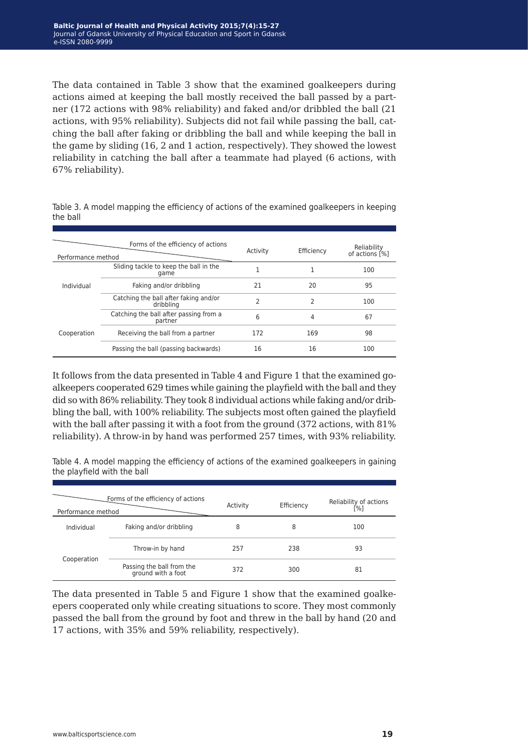The data contained in Table 3 show that the examined goalkeepers during actions aimed at keeping the ball mostly received the ball passed by a partner (172 actions with 98% reliability) and faked and/or dribbled the ball (21 actions, with 95% reliability). Subjects did not fail while passing the ball, catching the ball after faking or dribbling the ball and while keeping the ball in the game by sliding (16, 2 and 1 action, respectively). They showed the lowest reliability in catching the ball after a teammate had played (6 actions, with 67% reliability).

| Performance method | Forms of the efficiency of actions                 | Activity | Efficiency | Reliability<br>of actions [%] |
|--------------------|----------------------------------------------------|----------|------------|-------------------------------|
|                    | Sliding tackle to keep the ball in the<br>game     |          |            | 100                           |
| Individual         | Faking and/or dribbling                            | 21       | 20         | 95                            |
|                    | Catching the ball after faking and/or<br>dribbling | 2        | 2          | 100                           |
| Cooperation        | Catching the ball after passing from a<br>partner  | 6        | 4          | 67                            |
|                    | Receiving the ball from a partner                  | 172      | 169        | 98                            |
|                    | Passing the ball (passing backwards)               | 16       | 16         | 100                           |

Table 3. A model mapping the efficiency of actions of the examined goalkeepers in keeping the ball

It follows from the data presented in Table 4 and Figure 1 that the examined goalkeepers cooperated 629 times while gaining the playfield with the ball and they did so with 86% reliability. They took 8 individual actions while faking and/or dribbling the ball, with 100% reliability. The subjects most often gained the playfield with the ball after passing it with a foot from the ground (372 actions, with 81% reliability). A throw-in by hand was performed 257 times, with 93% reliability.

Table 4. A model mapping the efficiency of actions of the examined goalkeepers in gaining the playfield with the ball

| Performance method | Forms of the efficiency of actions              | Activity | Efficiency | Reliability of actions<br>[%] |
|--------------------|-------------------------------------------------|----------|------------|-------------------------------|
| Individual         | Faking and/or dribbling                         | 8        | 8          | 100                           |
| Cooperation        | Throw-in by hand                                | 257      | 238        | 93                            |
|                    | Passing the ball from the<br>ground with a foot | 372      | 300        | 81                            |

The data presented in Table 5 and Figure 1 show that the examined goalkeepers cooperated only while creating situations to score. They most commonly passed the ball from the ground by foot and threw in the ball by hand (20 and 17 actions, with 35% and 59% reliability, respectively).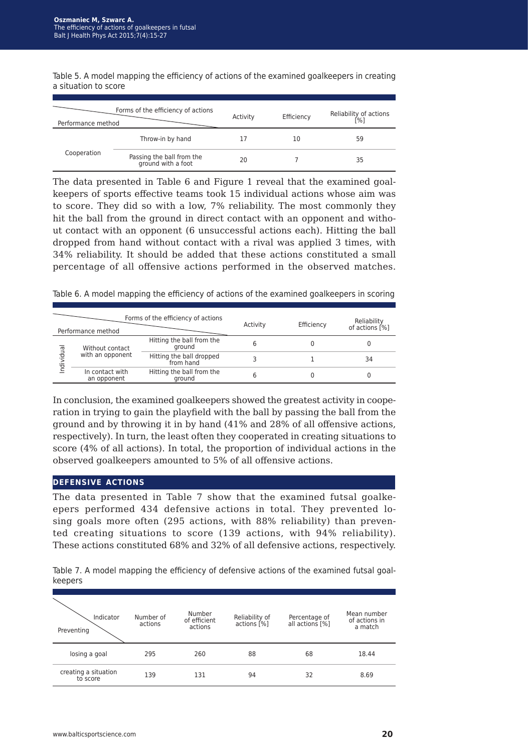Table 5. A model mapping the efficiency of actions of the examined goalkeepers in creating a situation to score

| Forms of the efficiency of actions<br>Performance method |                                                 | Activity | Efficiency | Reliability of actions<br>[%] |
|----------------------------------------------------------|-------------------------------------------------|----------|------------|-------------------------------|
| Cooperation                                              | Throw-in by hand                                |          | 10         | 59                            |
|                                                          | Passing the ball from the<br>ground with a foot | 20       |            | 35                            |

The data presented in Table 6 and Figure 1 reveal that the examined goalkeepers of sports effective teams took 15 individual actions whose aim was to score. They did so with a low, 7% reliability. The most commonly they hit the ball from the ground in direct contact with an opponent and without contact with an opponent (6 unsuccessful actions each). Hitting the ball dropped from hand without contact with a rival was applied 3 times, with 34% reliability. It should be added that these actions constituted a small percentage of all offensive actions performed in the observed matches.

| Forms of the efficiency of actions<br>Performance method |                                |                                       | Activity | Efficiency | Reliability<br>of actions [%] |
|----------------------------------------------------------|--------------------------------|---------------------------------------|----------|------------|-------------------------------|
|                                                          | Without contact                | Hitting the ball from the<br>around   |          |            |                               |
| ndividual                                                | with an opponent               | Hitting the ball dropped<br>from hand |          |            | 34                            |
|                                                          | In contact with<br>an opponent | Hitting the ball from the<br>around   |          |            |                               |

Table 6. A model mapping the efficiency of actions of the examined goalkeepers in scoring

In conclusion, the examined goalkeepers showed the greatest activity in cooperation in trying to gain the playfield with the ball by passing the ball from the ground and by throwing it in by hand (41% and 28% of all offensive actions, respectively). In turn, the least often they cooperated in creating situations to score (4% of all actions). In total, the proportion of individual actions in the observed goalkeepers amounted to 5% of all offensive actions.

#### **defensive actions**

The data presented in Table 7 show that the examined futsal goalkeepers performed 434 defensive actions in total. They prevented losing goals more often (295 actions, with 88% reliability) than prevented creating situations to score (139 actions, with 94% reliability). These actions constituted 68% and 32% of all defensive actions, respectively.

Table 7. A model mapping the efficiency of defensive actions of the examined futsal goalkeepers

| Indicator<br>Preventing          | Number of<br>actions | Number<br>of efficient<br>actions | Reliability of<br>actions [%] | Percentage of<br>all actions [%] | Mean number<br>of actions in<br>a match |
|----------------------------------|----------------------|-----------------------------------|-------------------------------|----------------------------------|-----------------------------------------|
| losing a goal                    | 295                  | 260                               | 88                            | 68                               | 18.44                                   |
| creating a situation<br>to score | 139                  | 131                               | 94                            | 32                               | 8.69                                    |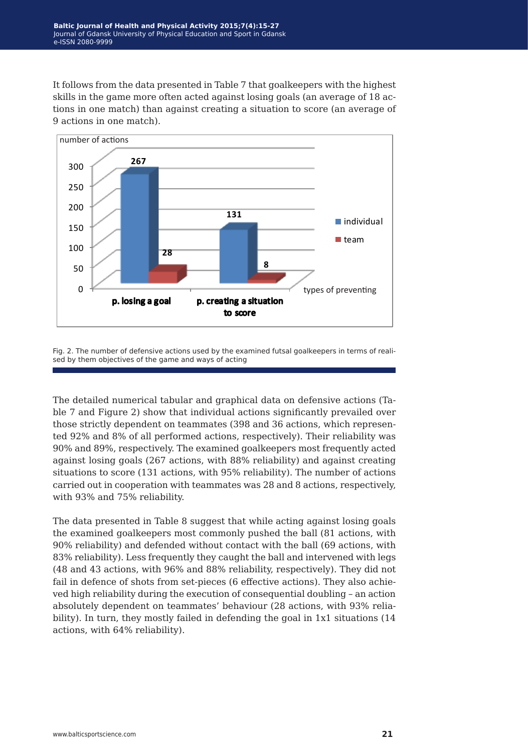It follows from the data presented in Table 7 that goalkeepers with the highest skills in the game more often acted against losing goals (an average of 18 actions in one match) than against creating a situation to score (an average of 9 actions in one match).



Fig. 2. The number of defensive actions used by the examined futsal goalkeepers in terms of realised by them objectives of the game and ways of acting

The detailed numerical tabular and graphical data on defensive actions (Table 7 and Figure 2) show that individual actions significantly prevailed over those strictly dependent on teammates (398 and 36 actions, which represented 92% and 8% of all performed actions, respectively). Their reliability was 90% and 89%, respectively. The examined goalkeepers most frequently acted against losing goals (267 actions, with 88% reliability) and against creating situations to score (131 actions, with 95% reliability). The number of actions carried out in cooperation with teammates was 28 and 8 actions, respectively, with 93% and 75% reliability.

The data presented in Table 8 suggest that while acting against losing goals the examined goalkeepers most commonly pushed the ball (81 actions, with 90% reliability) and defended without contact with the ball (69 actions, with 83% reliability). Less frequently they caught the ball and intervened with legs (48 and 43 actions, with 96% and 88% reliability, respectively). They did not fail in defence of shots from set-pieces (6 effective actions). They also achieved high reliability during the execution of consequential doubling – an action absolutely dependent on teammates' behaviour (28 actions, with 93% reliability). In turn, they mostly failed in defending the goal in 1x1 situations (14 actions, with 64% reliability).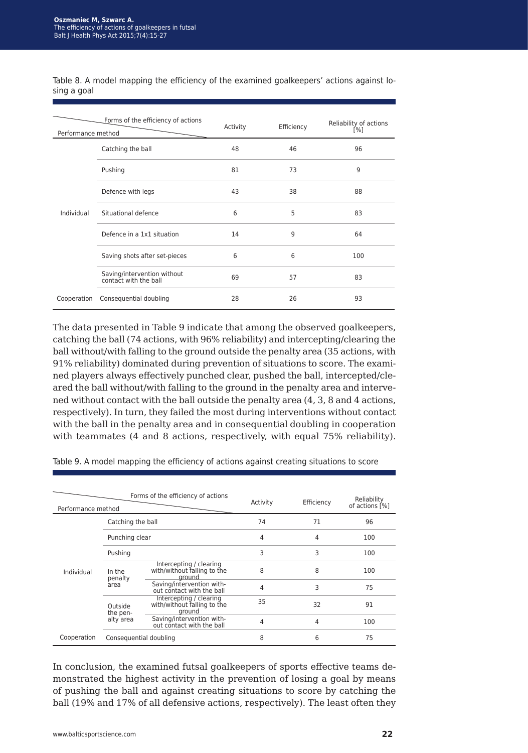Table 8. A model mapping the efficiency of the examined goalkeepers' actions against losing a goal

| Forms of the efficiency of actions<br>Performance method |                                                      | Activity | Efficiency | Reliability of actions<br>[%] |
|----------------------------------------------------------|------------------------------------------------------|----------|------------|-------------------------------|
|                                                          | Catching the ball                                    | 48       | 46         | 96                            |
| Individual                                               | Pushing                                              | 81       | 73         | 9                             |
|                                                          | Defence with legs                                    | 43       | 38         | 88                            |
|                                                          | Situational defence                                  | 6        | 5          | 83                            |
|                                                          | Defence in a 1x1 situation                           | 14       | 9          | 64                            |
|                                                          | Saving shots after set-pieces                        | 6        | 6          | 100                           |
|                                                          | Saving/intervention without<br>contact with the ball | 69       | 57         | 83                            |
| Cooperation                                              | Consequential doubling                               | 28       | 26         | 93                            |

The data presented in Table 9 indicate that among the observed goalkeepers, catching the ball (74 actions, with 96% reliability) and intercepting/clearing the ball without/with falling to the ground outside the penalty area (35 actions, with 91% reliability) dominated during prevention of situations to score. The examined players always effectively punched clear, pushed the ball, intercepted/cleared the ball without/with falling to the ground in the penalty area and intervened without contact with the ball outside the penalty area (4, 3, 8 and 4 actions, respectively). In turn, they failed the most during interventions without contact with the ball in the penalty area and in consequential doubling in cooperation with teammates (4 and 8 actions, respectively, with equal 75% reliability).

Table 9. A model mapping the efficiency of actions against creating situations to score

| Performance method |                                  | Forms of the efficiency of actions                               | Activity | Efficiency | Reliability<br>of actions [%] |
|--------------------|----------------------------------|------------------------------------------------------------------|----------|------------|-------------------------------|
|                    |                                  | Catching the ball                                                |          | 71         | 96                            |
|                    | Punching clear                   |                                                                  | 4        | 4          | 100                           |
| Individual         | Pushing                          |                                                                  | 3        | 3          | 100                           |
|                    | In the<br>penalty<br>area        | Intercepting / clearing<br>with/without falling to the<br>ground | 8        | 8          | 100                           |
|                    |                                  | Saving/intervention with-<br>out contact with the ball           | 4        | 3          | 75                            |
|                    | Outside<br>the pen-<br>alty area | Intercepting / clearing<br>with/without falling to the<br>ground | 35       | 32         | 91                            |
|                    |                                  | Saving/intervention with-<br>out contact with the ball           | 4        | 4          | 100                           |
| Cooperation        | Consequential doubling           |                                                                  | 8        | 6          | 75                            |

In conclusion, the examined futsal goalkeepers of sports effective teams demonstrated the highest activity in the prevention of losing a goal by means of pushing the ball and against creating situations to score by catching the ball (19% and 17% of all defensive actions, respectively). The least often they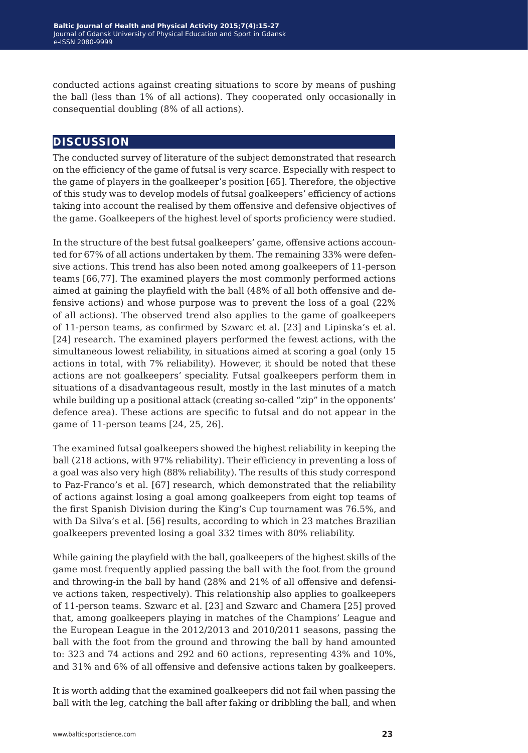conducted actions against creating situations to score by means of pushing the ball (less than 1% of all actions). They cooperated only occasionally in consequential doubling (8% of all actions).

# **discussion**

The conducted survey of literature of the subject demonstrated that research on the efficiency of the game of futsal is very scarce. Especially with respect to the game of players in the goalkeeper's position [65]. Therefore, the objective of this study was to develop models of futsal goalkeepers' efficiency of actions taking into account the realised by them offensive and defensive objectives of the game. Goalkeepers of the highest level of sports proficiency were studied.

In the structure of the best futsal goalkeepers' game, offensive actions accounted for 67% of all actions undertaken by them. The remaining 33% were defensive actions. This trend has also been noted among goalkeepers of 11-person teams [66,77]. The examined players the most commonly performed actions aimed at gaining the playfield with the ball (48% of all both offensive and defensive actions) and whose purpose was to prevent the loss of a goal (22% of all actions). The observed trend also applies to the game of goalkeepers of 11-person teams, as confirmed by Szwarc et al. [23] and Lipinska's et al. [24] research. The examined players performed the fewest actions, with the simultaneous lowest reliability, in situations aimed at scoring a goal (only 15 actions in total, with 7% reliability). However, it should be noted that these actions are not goalkeepers' speciality. Futsal goalkeepers perform them in situations of a disadvantageous result, mostly in the last minutes of a match while building up a positional attack (creating so-called "zip" in the opponents' defence area). These actions are specific to futsal and do not appear in the game of 11-person teams [24, 25, 26].

The examined futsal goalkeepers showed the highest reliability in keeping the ball (218 actions, with 97% reliability). Their efficiency in preventing a loss of a goal was also very high (88% reliability). The results of this study correspond to Paz-Franco's et al. [67] research, which demonstrated that the reliability of actions against losing a goal among goalkeepers from eight top teams of the first Spanish Division during the King's Cup tournament was 76.5%, and with Da Silva's et al. [56] results, according to which in 23 matches Brazilian goalkeepers prevented losing a goal 332 times with 80% reliability.

While gaining the playfield with the ball, goalkeepers of the highest skills of the game most frequently applied passing the ball with the foot from the ground and throwing-in the ball by hand (28% and 21% of all offensive and defensive actions taken, respectively). This relationship also applies to goalkeepers of 11-person teams. Szwarc et al. [23] and Szwarc and Chamera [25] proved that, among goalkeepers playing in matches of the Champions' League and the European League in the 2012/2013 and 2010/2011 seasons, passing the ball with the foot from the ground and throwing the ball by hand amounted to: 323 and 74 actions and 292 and 60 actions, representing 43% and 10%, and 31% and 6% of all offensive and defensive actions taken by goalkeepers.

It is worth adding that the examined goalkeepers did not fail when passing the ball with the leg, catching the ball after faking or dribbling the ball, and when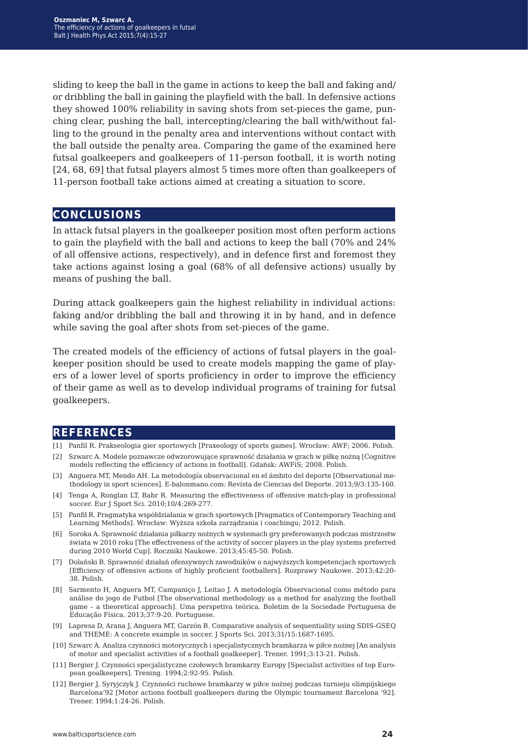sliding to keep the ball in the game in actions to keep the ball and faking and/ or dribbling the ball in gaining the playfield with the ball. In defensive actions they showed 100% reliability in saving shots from set-pieces the game, punching clear, pushing the ball, intercepting/clearing the ball with/without falling to the ground in the penalty area and interventions without contact with the ball outside the penalty area. Comparing the game of the examined here futsal goalkeepers and goalkeepers of 11-person football, it is worth noting [24, 68, 69] that futsal players almost 5 times more often than goalkeepers of 11-person football take actions aimed at creating a situation to score.

### **conclusions**

In attack futsal players in the goalkeeper position most often perform actions to gain the playfield with the ball and actions to keep the ball (70% and 24% of all offensive actions, respectively), and in defence first and foremost they take actions against losing a goal (68% of all defensive actions) usually by means of pushing the ball.

During attack goalkeepers gain the highest reliability in individual actions: faking and/or dribbling the ball and throwing it in by hand, and in defence while saving the goal after shots from set-pieces of the game.

The created models of the efficiency of actions of futsal players in the goalkeeper position should be used to create models mapping the game of players of a lower level of sports proficiency in order to improve the efficiency of their game as well as to develop individual programs of training for futsal goalkeepers.

### **references**

- [1] Panfil R. Prakseologia gier sportowych [Praxeology of sports games]. Wrocław: AWF; 2006. Polish.
- [2] Szwarc A. Modele poznawcze odwzorowujące sprawność działania w grach w piłkę nożną [Cognitive models reflecting the efficiency of actions in football]. Gdańsk: AWFiS; 2008. Polish.
- [3] Anguera MT, Mendo AH. La metodología observacional en el ámbito del deporte [Observational methodology in sport sciences]. E-balonmano.com: Revista de Ciencias del Deporte. 2013;9/3:135-160.
- [4] Tenga A, Ronglan LT, Bahr R. Measuring the effectiveness of offensive match-play in professional soccer. Eur J Sport Sci. 2010;10/4:269-277.
- [5] Panfil R. Pragmatyka współdziałania w grach sportowych [Pragmatics of Contemporary Teaching and Learning Methods]. Wrocław: Wyższa szkoła zarządzania i coachingu; 2012. Polish.
- [6] Soroka A. Sprawność działania piłkarzy nożnych w systemach gry preferowanych podczas mistrzostw świata w 2010 roku [The effectiveness of the activity of soccer players in the play systems preferred during 2010 World Cup]. Roczniki Naukowe. 2013;45:45-50. Polish.
- [7] Dolański B. Sprawność działań ofensywnych zawodników o najwyższych kompetencjach sportowych [Efficiency of offensive actions of highly proficient footballers]. Rozprawy Naukowe. 2013;42:20- 38. Polish.
- [8] Sarmento H, Anguera MT, Campaniço J, Leitao J. A metodología Observacional como método para análise do jogo de Futbol [The observational methodology as a method for analyzing the football game – a theoretical approach]. Uma perspetiva teórica. Boletim de la Sociedade Portuguesa de Educação Física. 2013;37:9-20. Portuguese.
- [9] Lapresa D, Arana J, Anguera MT, Garzón B. Comparative analysis of sequentiality using SDIS-GSEQ and THEME: A concrete example in soccer. J Sports Sci. 2013;31/15:1687-1695.
- [10] Szwarc A. Analiza czynności motorycznych i specjalistycznych bramkarza w piłce nożnej [An analysis of motor and specialist activities of a football goalkeeper]. Trener. 1991;3:13-21. Polish.
- [11] Bergier J. Czynności specjalistyczne czołowych bramkarzy Europy [Specialist activities of top European goalkeepers]. Trening. 1994;2:92-95. Polish.
- [12] Bergier J, Syryjczyk J. Czynności ruchowe bramkarzy w piłce nożnej podczas turnieju olimpijskiego Barcelona'92 [Motor actions football goalkeepers during the Olympic tournament Barcelona '92]. Trener. 1994;1:24-26. Polish.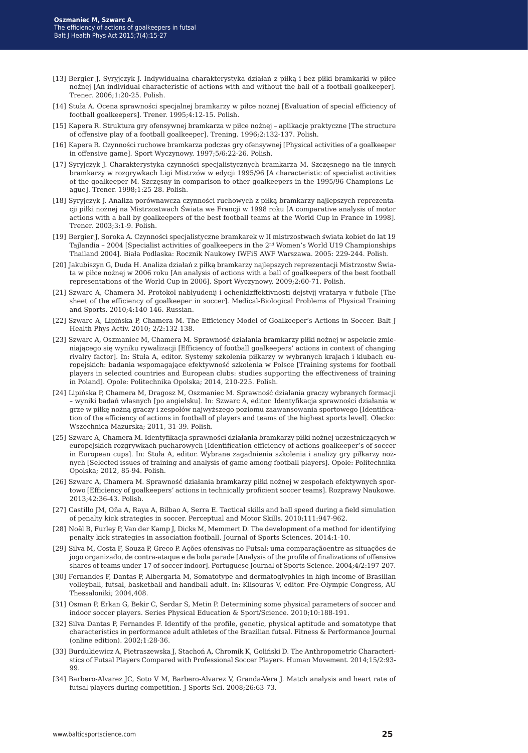- [13] Bergier J, Syryjczyk J. Indywidualna charakterystyka działań z piłką i bez piłki bramkarki w piłce nożnej [An individual characteristic of actions with and without the ball of a football goalkeeper]. Trener. 2006;1:20-25. Polish.
- [14] Stuła A. Ocena sprawności specjalnej bramkarzy w piłce nożnej [Evaluation of special efficiency of football goalkeepers]. Trener. 1995;4:12-15. Polish.
- [15] Kapera R. Struktura gry ofensywnej bramkarza w piłce nożnej aplikacje praktyczne [The structure of offensive play of a football goalkeeper]. Trening. 1996;2:132-137. Polish.
- [16] Kapera R. Czynności ruchowe bramkarza podczas gry ofensywnej [Physical activities of a goalkeeper in offensive game]. Sport Wyczynowy. 1997;5/6:22-26. Polish.
- [17] Syryjczyk J. Charakterystyka czynności specjalistycznych bramkarza M. Szczęsnego na tle innych bramkarzy w rozgrywkach Ligi Mistrzów w edycji 1995/96 [A characteristic of specialist activities of the goalkeeper M. Szczęsny in comparison to other goalkeepers in the 1995/96 Champions League]. Trener. 1998;1:25-28. Polish.
- [18] Syryjczyk J. Analiza porównawcza czynności ruchowych z piłką bramkarzy najlepszych reprezentacji piłki nożnej na Mistrzostwach Świata we Francji w 1998 roku [A comparative analysis of motor actions with a ball by goalkeepers of the best football teams at the World Cup in France in 1998]. Trener. 2003;3:1-9. Polish.
- [19] Bergier J, Soroka A. Czynności specjalistyczne bramkarek w II mistrzostwach świata kobiet do lat 19 Tajlandia – 2004 [Specialist activities of goalkeepers in the 2nd Women's World U19 Championships Thailand 2004]. Biała Podlaska: Rocznik Naukowy IWFiS AWF Warszawa. 2005: 229-244. Polish.
- [20] Jakubiszyn G, Duda H. Analiza działań z piłką bramkarzy najlepszych reprezentacji Mistrzostw Świata w piłce nożnej w 2006 roku [An analysis of actions with a ball of goalkeepers of the best football representations of the World Cup in 2006]. Sport Wyczynowy. 2009;2:60-71. Polish.
- [21] Szwarc A, Chamera M. Protokol nablyudenij i ochenkizffektivnosti dejstvij vratarya v futbole [The sheet of the efficiency of goalkeeper in soccer]. Medical-Biological Problems of Physical Training and Sports. 2010;4:140-146. Russian.
- [22] Szwarc A, Lipińska P, Chamera M. The Efficiency Model of Goalkeeper's Actions in Soccer. Balt J Health Phys Activ. 2010; 2/2:132-138.
- [23] Szwarc A, Oszmaniec M, Chamera M. Sprawność działania bramkarzy piłki nożnej w aspekcie zmieniającego się wyniku rywalizacji [Efficiency of football goalkeepers' actions in context of changing rivalry factor]. In: Stuła A, editor. Systemy szkolenia piłkarzy w wybranych krajach i klubach europejskich: badania wspomagające efektywność szkolenia w Polsce [Training systems for football players in selected countries and European clubs: studies supporting the effectiveness of training in Poland]. Opole: Politechnika Opolska; 2014, 210-225. Polish.
- [24] Lipińska P, Chamera M, Dragosz M, Oszmaniec M. Sprawność działania graczy wybranych formacji – wyniki badań własnych [po angielsku]. In: Szwarc A, editor. Identyfikacja sprawności działania w grze w piłkę nożną graczy i zespołów najwyższego poziomu zaawansowania sportowego [Identification of the efficiency of actions in football of players and teams of the highest sports level]. Olecko: Wszechnica Mazurska; 2011, 31-39. Polish.
- [25] Szwarc A, Chamera M. Identyfikacja sprawności działania bramkarzy piłki nożnej uczestniczących w europejskich rozgrywkach pucharowych [Identification efficiency of actions goalkeeper's of soccer in European cups]. In: Stuła A, editor. Wybrane zagadnienia szkolenia i analizy gry piłkarzy nożnych [Selected issues of training and analysis of game among football players]. Opole: Politechnika Opolska; 2012, 85-94. Polish.
- [26] Szwarc A, Chamera M. Sprawność działania bramkarzy piłki nożnej w zespołach efektywnych sportowo [Efficiency of goalkeepers' actions in technically proficient soccer teams]. Rozprawy Naukowe. 2013;42:36-43. Polish.
- [27] Castillo JM, Oña A, Raya A, Bilbao A, Serra E. Tactical skills and ball speed during a field simulation of penalty kick strategies in soccer. Perceptual and Motor Skills. 2010;111:947-962.
- [28] Noël B, Furley P, Van der Kamp J, Dicks M, Memmert D. The development of a method for identifying penalty kick strategies in association football. Journal of Sports Sciences. 2014:1-10.
- [29] Silva M, Costa F, Souza P, Greco P. Ações ofensivas no Futsal: uma comparaçãoentre as situações de jogo organizado, de contra-ataque e de bola parade [Analysis of the profile of finalizations of offensive shares of teams under-17 of soccer indoor]. Portuguese Journal of Sports Science. 2004;4/2:197-207.
- [30] Fernandes F, Dantas P, Albergaria M, Somatotype and dermatoglyphics in high income of Brasilian volleyball, futsal, basketball and handball adult. In: Klisouras V, editor. Pre-Olympic Congress, AU Thessaloniki; 2004,408.
- [31] Osman P, Erkan G, Bekir C, Serdar S, Metin P. Determining some physical parameters of soccer and indoor soccer players. Series Physical Education & Sport/Science. 2010;10:188-191.
- [32] Silva Dantas P, Fernandes F. Identify of the profile, genetic, physical aptitude and somatotype that characteristics in performance adult athletes of the Brazilian futsal. Fitness & Performance Journal (online edition). 2002;1:28-36.
- [33] Burdukiewicz A, Pietraszewska J, Stachoń A, Chromik K, Goliński D. The Anthropometric Characteristics of Futsal Players Compared with Professional Soccer Players. Human Movement. 2014;15/2:93- 99.
- [34] Barbero-Alvarez JC, Soto V M, Barbero-Alvarez V, Granda-Vera J. Match analysis and heart rate of futsal players during competition. J Sports Sci. 2008;26:63-73.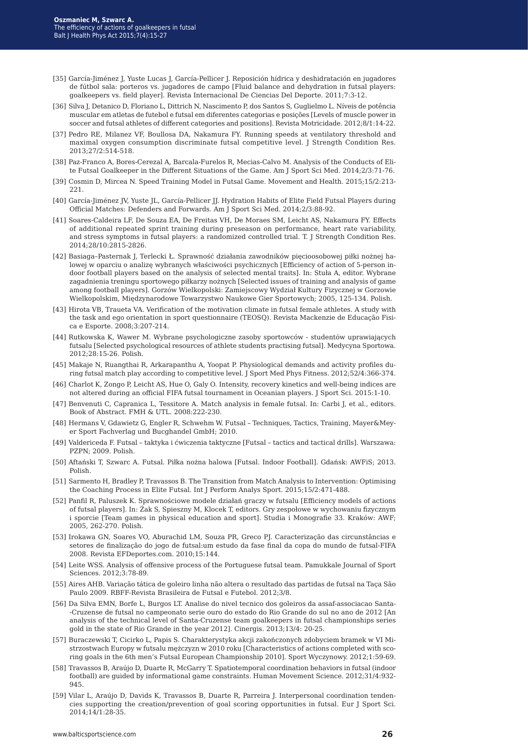- [35] García-Jiménez J, Yuste Lucas J, García-Pellicer J. Reposición hídrica y deshidratación en jugadores de fútbol sala: porteros vs. jugadores de campo [Fluid balance and dehydration in futsal players: goalkeepers vs. field player]. Revista Internacional De Ciencias Del Deporte. 2011;7:3-12.
- [36] Silva J, Detanico D, Floriano L, Dittrich N, Nascimento P, dos Santos S, Guglielmo L. Níveis de potência muscular em atletas de futebol e futsal em diferentes categorias e posições [Levels of muscle power in soccer and futsal athletes of different categories and positions]. Revista Motricidade. 2012;8/1:14-22.
- [37] Pedro RE, Milanez VF, Boullosa DA, Nakamura FY. Running speeds at ventilatory threshold and maximal oxygen consumption discriminate futsal competitive level. J Strength Condition Res. 2013;27/2:514-518.
- [38] Paz-Franco A, Bores-Cerezal A, Barcala-Furelos R, Mecias-Calvo M. Analysis of the Conducts of Elite Futsal Goalkeeper in the Different Situations of the Game. Am J Sport Sci Med. 2014;2/3:71-76.
- [39] Cosmin D, Mircea N. Speed Training Model in Futsal Game. Movement and Health. 2015;15/2:213- 221.
- [40] García-Jiménez JV, Yuste JL, García-Pellicer JJ. Hydration Habits of Elite Field Futsal Players during Official Matches: Defenders and Forwards. Am J Sport Sci Med. 2014;2/3:88-92.
- [41] Soares-Caldeira LF, De Souza EA, De Freitas VH, De Moraes SM, Leicht AS, Nakamura FY. Effects of additional repeated sprint training during preseason on performance, heart rate variability, and stress symptoms in futsal players: a randomized controlled trial. T. J Strength Condition Res. 2014;28/10:2815-2826.
- [42] Basiaga–Pasternak J, Terlecki Ł. Sprawność działania zawodników pięcioosobowej piłki nożnej halowej w oparciu o analizę wybranych właściwości psychicznych [Efficiency of action of 5-person indoor football players based on the analysis of selected mental traits]. In: Stuła A, editor. Wybrane zagadnienia treningu sportowego piłkarzy nożnych [Selected issues of training and analysis of game among football players]. Gorzów Wielkopolski: Zamiejscowy Wydział Kultury Fizycznej w Gorzowie Wielkopolskim, Międzynarodowe Towarzystwo Naukowe Gier Sportowych; 2005, 125-134. Polish.
- [43] Hirota VB, Traueta VA. Verification of the motivation climate in futsal female athletes. A study with the task and ego orientation in sport questionnaire (TEOSQ). Revista Mackenzie de Educação Fisica e Esporte. 2008;3:207-214.
- [44] Rutkowska K, Wawer M. Wybrane psychologiczne zasoby sportowców studentów uprawiających futsalu [Selected psychological resources of athlete students practising futsal]. Medycyna Sportowa. 2012;28:15-26. Polish.
- [45] Makaje N, Ruangthai R, Arkarapanthu A, Yoopat P. Physiological demands and activity profiles during futsal match play according to competitive level. J Sport Med Phys Fitness. 2012;52/4:366-374.
- [46] Charlot K, Zongo P, Leicht AS, Hue O, Galy O. Intensity, recovery kinetics and well-being indices are not altered during an official FIFA futsal tournament in Oceanian players. J Sport Sci. 2015:1-10.
- [47] Benvenuti C, Capranica L, Tessitore A. Match analysis in female futsal. In: Carbi J, et al., editors. Book of Abstract. FMH & UTL. 2008:222-230.
- [48] Hermans V, Gdawietz G, Engler R, Schwehm W. Futsal Techniques, Tactics, Training, Mayer&Meyer Sport Fachverlag und Bucghandel GmbH; 2010.
- [49] Valdericeda F. Futsal taktyka i ćwiczenia taktyczne [Futsal tactics and tactical drills]. Warszawa: PZPN; 2009. Polish.
- [50] Aftański T, Szwarc A. Futsal. Piłka nożna halowa [Futsal. Indoor Football]. Gdańsk: AWFiS; 2013. Polish.
- [51] Sarmento H, Bradley P, Travassos B. The Transition from Match Analysis to Intervention: Optimising the Coaching Process in Elite Futsal. Int J Perform Analys Sport. 2015;15/2:471-488.
- [52] Panfil R, Paluszek K. Sprawnościowe modele działań graczy w futsalu [Efficiency models of actions of futsal players]. In: Żak S, Spieszny M, Klocek T, editors. Gry zespołowe w wychowaniu fizycznym i sporcie [Team games in physical education and sport]. Studia i Monografie 33. Kraków: AWF; 2005, 262-270. Polish.
- [53] Irokawa GN, Soares VO, Aburachid LM, Souza PR, Greco PJ. Caracterização das circunstâncias e setores de finalização do jogo de futsal:um estudo da fase final da copa do mundo de futsal-FIFA 2008. Revista EFDeportes.com. 2010;15:144.
- [54] Leite WSS. Analysis of offensive process of the Portuguese futsal team. Pamukkale Journal of Sport Sciences. 2012;3:78-89.
- [55] Aires AHB. Variação tática de goleiro linha não altera o resultado das partidas de futsal na Taça São Paulo 2009. RBFF-Revista Brasileira de Futsal e Futebol. 2012;3/8.
- [56] Da Silva EMN, Borfe L, Burgos LT. Analise do nivel tecnico dos goleiros da assaf-associacao Santa- -Cruzense de futsal no campeonato serie ouro do estado do Rio Grande do sul no ano de 2012 [An analysis of the technical level of Santa-Cruzense team goalkeepers in futsal championships series gold in the state of Rio Grande in the year 2012]. Cinergis. 2013;13/4: 20-25.
- [57] Buraczewski T, Cicirko L, Papis S. Charakterystyka akcji zakończonych zdobyciem bramek w VI Mistrzostwach Europy w futsalu mężczyzn w 2010 roku [Characteristics of actions completed with scoring goals in the 6th men's Futsal European Championship 2010]. Sport Wyczynowy. 2012;1:59-69.
- [58] Travassos B, Araújo D, Duarte R, McGarry T. Spatiotemporal coordination behaviors in futsal (indoor football) are guided by informational game constraints. Human Movement Science. 2012;31/4:932- 945.
- [59] Vilar L, Araújo D, Davids K, Travassos B, Duarte R, Parreira J. Interpersonal coordination tendencies supporting the creation/prevention of goal scoring opportunities in futsal. Eur J Sport Sci. 2014;14/1:28-35.